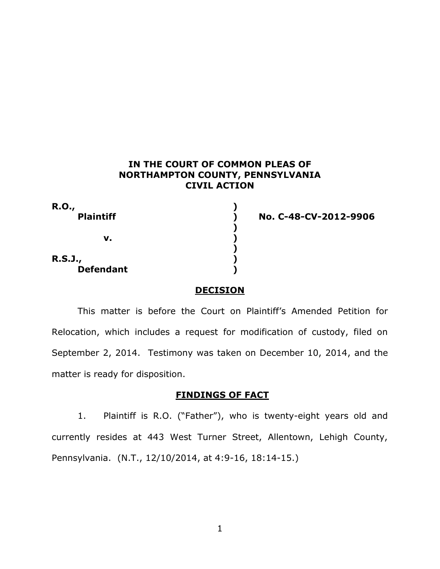## **IN THE COURT OF COMMON PLEAS OF NORTHAMPTON COUNTY, PENNSYLVANIA CIVIL ACTION**

| <b>R.O.,</b>     |  |
|------------------|--|
| <b>Plaintiff</b> |  |
|                  |  |
| v.               |  |
|                  |  |
| <b>R.S.J.,</b>   |  |
| <b>Defendant</b> |  |

**Plaintiff ) No. C-48-CV-2012-9906**

## **DECISION**

This matter is before the Court on Plaintiff's Amended Petition for Relocation, which includes a request for modification of custody, filed on September 2, 2014. Testimony was taken on December 10, 2014, and the matter is ready for disposition.

## **FINDINGS OF FACT**

1. Plaintiff is R.O. ("Father"), who is twenty-eight years old and currently resides at 443 West Turner Street, Allentown, Lehigh County, Pennsylvania. (N.T., 12/10/2014, at 4:9-16, 18:14-15.)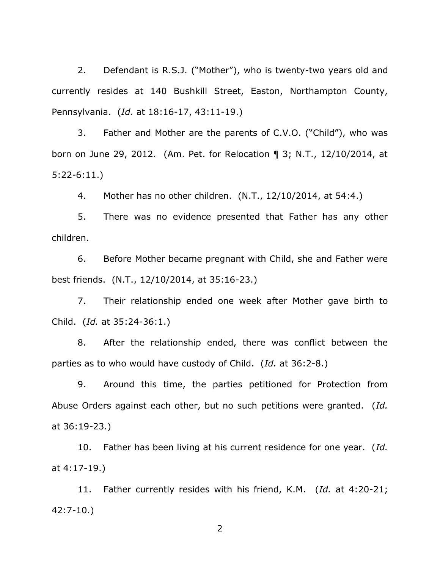2. Defendant is R.S.J. ("Mother"), who is twenty-two years old and currently resides at 140 Bushkill Street, Easton, Northampton County, Pennsylvania. (*Id.* at 18:16-17, 43:11-19.)

3. Father and Mother are the parents of C.V.O. ("Child"), who was born on June 29, 2012. (Am. Pet. for Relocation ¶ 3; N.T., 12/10/2014, at 5:22-6:11.)

4. Mother has no other children. (N.T., 12/10/2014, at 54:4.)

5. There was no evidence presented that Father has any other children.

6. Before Mother became pregnant with Child, she and Father were best friends. (N.T., 12/10/2014, at 35:16-23.)

7. Their relationship ended one week after Mother gave birth to Child. (*Id.* at 35:24-36:1.)

8. After the relationship ended, there was conflict between the parties as to who would have custody of Child. (*Id.* at 36:2-8.)

9. Around this time, the parties petitioned for Protection from Abuse Orders against each other, but no such petitions were granted. (*Id.* at 36:19-23.)

10. Father has been living at his current residence for one year. (*Id.* at 4:17-19.)

11. Father currently resides with his friend, K.M. (*Id.* at 4:20-21; 42:7-10.)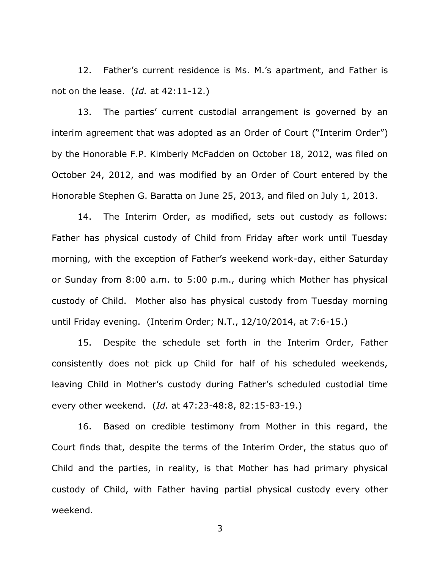12. Father's current residence is Ms. M.'s apartment, and Father is not on the lease. (*Id.* at 42:11-12.)

13. The parties' current custodial arrangement is governed by an interim agreement that was adopted as an Order of Court ("Interim Order") by the Honorable F.P. Kimberly McFadden on October 18, 2012, was filed on October 24, 2012, and was modified by an Order of Court entered by the Honorable Stephen G. Baratta on June 25, 2013, and filed on July 1, 2013.

14. The Interim Order, as modified, sets out custody as follows: Father has physical custody of Child from Friday after work until Tuesday morning, with the exception of Father's weekend work-day, either Saturday or Sunday from 8:00 a.m. to 5:00 p.m., during which Mother has physical custody of Child. Mother also has physical custody from Tuesday morning until Friday evening. (Interim Order; N.T., 12/10/2014, at 7:6-15.)

15. Despite the schedule set forth in the Interim Order, Father consistently does not pick up Child for half of his scheduled weekends, leaving Child in Mother's custody during Father's scheduled custodial time every other weekend. (*Id.* at 47:23-48:8, 82:15-83-19.)

16. Based on credible testimony from Mother in this regard, the Court finds that, despite the terms of the Interim Order, the status quo of Child and the parties, in reality, is that Mother has had primary physical custody of Child, with Father having partial physical custody every other weekend.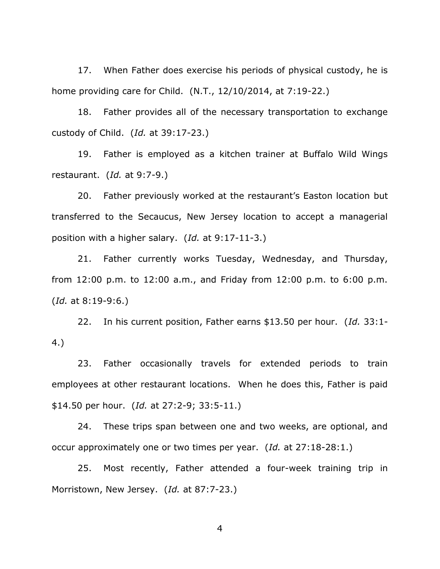17. When Father does exercise his periods of physical custody, he is home providing care for Child. (N.T., 12/10/2014, at 7:19-22.)

18. Father provides all of the necessary transportation to exchange custody of Child. (*Id.* at 39:17-23.)

19. Father is employed as a kitchen trainer at Buffalo Wild Wings restaurant. (*Id.* at 9:7-9.)

20. Father previously worked at the restaurant's Easton location but transferred to the Secaucus, New Jersey location to accept a managerial position with a higher salary. (*Id.* at 9:17-11-3.)

21. Father currently works Tuesday, Wednesday, and Thursday, from 12:00 p.m. to 12:00 a.m., and Friday from 12:00 p.m. to 6:00 p.m. (*Id.* at 8:19-9:6.)

22. In his current position, Father earns \$13.50 per hour. (*Id.* 33:1- 4.)

23. Father occasionally travels for extended periods to train employees at other restaurant locations. When he does this, Father is paid \$14.50 per hour. (*Id.* at 27:2-9; 33:5-11.)

24. These trips span between one and two weeks, are optional, and occur approximately one or two times per year. (*Id.* at 27:18-28:1.)

25. Most recently, Father attended a four-week training trip in Morristown, New Jersey. (*Id.* at 87:7-23.)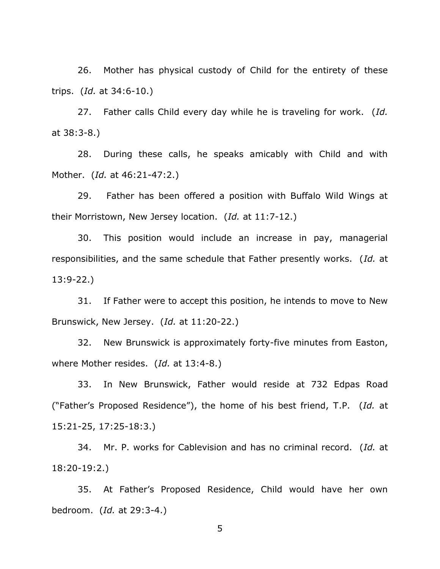26. Mother has physical custody of Child for the entirety of these trips. (*Id.* at 34:6-10.)

27. Father calls Child every day while he is traveling for work. (*Id.* at 38:3-8.)

28. During these calls, he speaks amicably with Child and with Mother. (*Id.* at 46:21-47:2.)

29. Father has been offered a position with Buffalo Wild Wings at their Morristown, New Jersey location. (*Id.* at 11:7-12.)

30. This position would include an increase in pay, managerial responsibilities, and the same schedule that Father presently works. (*Id.* at 13:9-22.)

31. If Father were to accept this position, he intends to move to New Brunswick, New Jersey. (*Id.* at 11:20-22.)

32. New Brunswick is approximately forty-five minutes from Easton, where Mother resides. (*Id.* at 13:4-8.)

33. In New Brunswick, Father would reside at 732 Edpas Road ("Father's Proposed Residence"), the home of his best friend, T.P. (*Id.* at 15:21-25, 17:25-18:3.)

34. Mr. P. works for Cablevision and has no criminal record. (*Id.* at 18:20-19:2.)

35. At Father's Proposed Residence, Child would have her own bedroom. (*Id.* at 29:3-4.)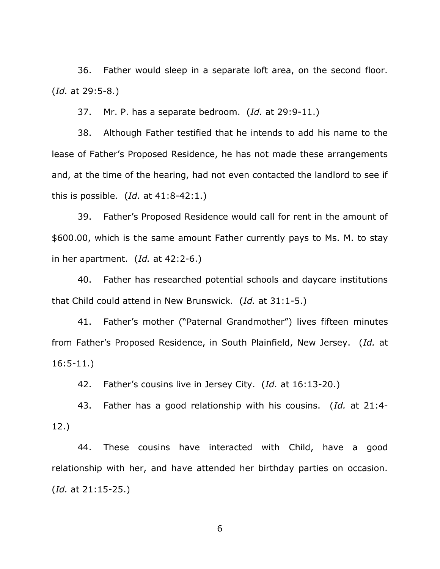36. Father would sleep in a separate loft area, on the second floor. (*Id.* at 29:5-8.)

37. Mr. P. has a separate bedroom. (*Id.* at 29:9-11.)

38. Although Father testified that he intends to add his name to the lease of Father's Proposed Residence, he has not made these arrangements and, at the time of the hearing, had not even contacted the landlord to see if this is possible. (*Id.* at 41:8-42:1.)

39. Father's Proposed Residence would call for rent in the amount of \$600.00, which is the same amount Father currently pays to Ms. M. to stay in her apartment. (*Id.* at 42:2-6.)

40. Father has researched potential schools and daycare institutions that Child could attend in New Brunswick. (*Id.* at 31:1-5.)

41. Father's mother ("Paternal Grandmother") lives fifteen minutes from Father's Proposed Residence, in South Plainfield, New Jersey. (*Id.* at 16:5-11.)

42. Father's cousins live in Jersey City. (*Id.* at 16:13-20.)

43. Father has a good relationship with his cousins. (*Id.* at 21:4- 12.)

44. These cousins have interacted with Child, have a good relationship with her, and have attended her birthday parties on occasion. (*Id.* at 21:15-25.)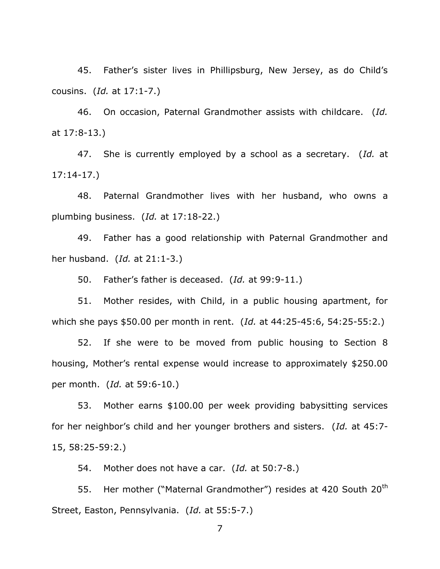45. Father's sister lives in Phillipsburg, New Jersey, as do Child's cousins. (*Id.* at 17:1-7.)

46. On occasion, Paternal Grandmother assists with childcare. (*Id.* at 17:8-13.)

47. She is currently employed by a school as a secretary. (*Id.* at 17:14-17.)

48. Paternal Grandmother lives with her husband, who owns a plumbing business. (*Id.* at 17:18-22.)

49. Father has a good relationship with Paternal Grandmother and her husband. (*Id.* at 21:1-3.)

50. Father's father is deceased. (*Id.* at 99:9-11.)

51. Mother resides, with Child, in a public housing apartment, for which she pays \$50.00 per month in rent. (*Id.* at 44:25-45:6, 54:25-55:2.)

52. If she were to be moved from public housing to Section 8 housing, Mother's rental expense would increase to approximately \$250.00 per month. (*Id.* at 59:6-10.)

53. Mother earns \$100.00 per week providing babysitting services for her neighbor's child and her younger brothers and sisters. (*Id.* at 45:7- 15, 58:25-59:2.)

54. Mother does not have a car. (*Id.* at 50:7-8.)

55. Her mother ("Maternal Grandmother") resides at 420 South 20<sup>th</sup> Street, Easton, Pennsylvania. (*Id.* at 55:5-7.)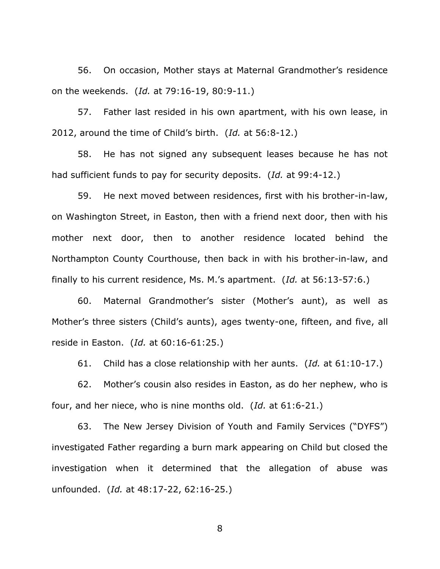56. On occasion, Mother stays at Maternal Grandmother's residence on the weekends. (*Id.* at 79:16-19, 80:9-11.)

57. Father last resided in his own apartment, with his own lease, in 2012, around the time of Child's birth. (*Id.* at 56:8-12.)

58. He has not signed any subsequent leases because he has not had sufficient funds to pay for security deposits. (*Id.* at 99:4-12.)

59. He next moved between residences, first with his brother-in-law, on Washington Street, in Easton, then with a friend next door, then with his mother next door, then to another residence located behind the Northampton County Courthouse, then back in with his brother-in-law, and finally to his current residence, Ms. M.'s apartment. (*Id.* at 56:13-57:6.)

60. Maternal Grandmother's sister (Mother's aunt), as well as Mother's three sisters (Child's aunts), ages twenty-one, fifteen, and five, all reside in Easton. (*Id.* at 60:16-61:25.)

61. Child has a close relationship with her aunts. (*Id.* at 61:10-17.)

62. Mother's cousin also resides in Easton, as do her nephew, who is four, and her niece, who is nine months old. (*Id.* at 61:6-21.)

63. The New Jersey Division of Youth and Family Services ("DYFS") investigated Father regarding a burn mark appearing on Child but closed the investigation when it determined that the allegation of abuse was unfounded. (*Id.* at 48:17-22, 62:16-25.)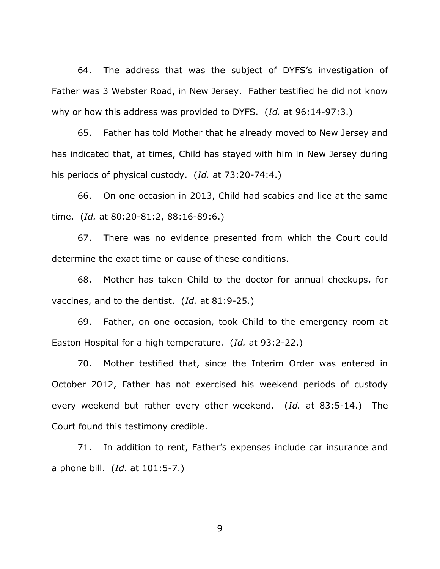64. The address that was the subject of DYFS's investigation of Father was 3 Webster Road, in New Jersey. Father testified he did not know why or how this address was provided to DYFS. (*Id.* at 96:14-97:3.)

65. Father has told Mother that he already moved to New Jersey and has indicated that, at times, Child has stayed with him in New Jersey during his periods of physical custody. (*Id.* at 73:20-74:4.)

66. On one occasion in 2013, Child had scabies and lice at the same time. (*Id.* at 80:20-81:2, 88:16-89:6.)

67. There was no evidence presented from which the Court could determine the exact time or cause of these conditions.

68. Mother has taken Child to the doctor for annual checkups, for vaccines, and to the dentist. (*Id.* at 81:9-25.)

69. Father, on one occasion, took Child to the emergency room at Easton Hospital for a high temperature. (*Id.* at 93:2-22.)

70. Mother testified that, since the Interim Order was entered in October 2012, Father has not exercised his weekend periods of custody every weekend but rather every other weekend. (*Id.* at 83:5-14.) The Court found this testimony credible.

71. In addition to rent, Father's expenses include car insurance and a phone bill. (*Id.* at 101:5-7.)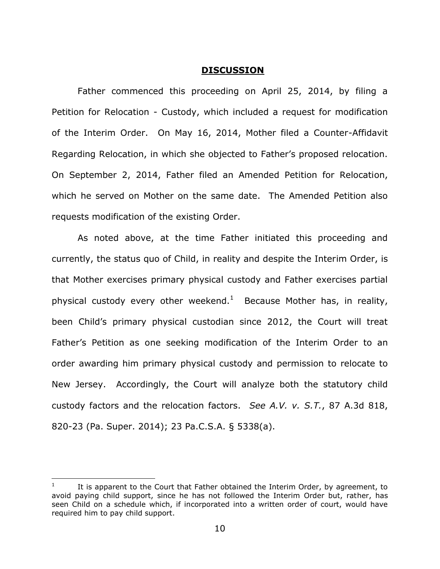#### **DISCUSSION**

Father commenced this proceeding on April 25, 2014, by filing a Petition for Relocation - Custody, which included a request for modification of the Interim Order. On May 16, 2014, Mother filed a Counter-Affidavit Regarding Relocation, in which she objected to Father's proposed relocation. On September 2, 2014, Father filed an Amended Petition for Relocation, which he served on Mother on the same date. The Amended Petition also requests modification of the existing Order.

As noted above, at the time Father initiated this proceeding and currently, the status quo of Child, in reality and despite the Interim Order, is that Mother exercises primary physical custody and Father exercises partial physical custody every other weekend.<sup>1</sup> Because Mother has, in reality, been Child's primary physical custodian since 2012, the Court will treat Father's Petition as one seeking modification of the Interim Order to an order awarding him primary physical custody and permission to relocate to New Jersey. Accordingly, the Court will analyze both the statutory child custody factors and the relocation factors. *See A.V. v. S.T.*, 87 A.3d 818, 820-23 (Pa. Super. 2014); 23 Pa.C.S.A. § 5338(a).

 $\overline{\phantom{a}}$ 

<sup>1</sup> It is apparent to the Court that Father obtained the Interim Order, by agreement, to avoid paying child support, since he has not followed the Interim Order but, rather, has seen Child on a schedule which, if incorporated into a written order of court, would have required him to pay child support.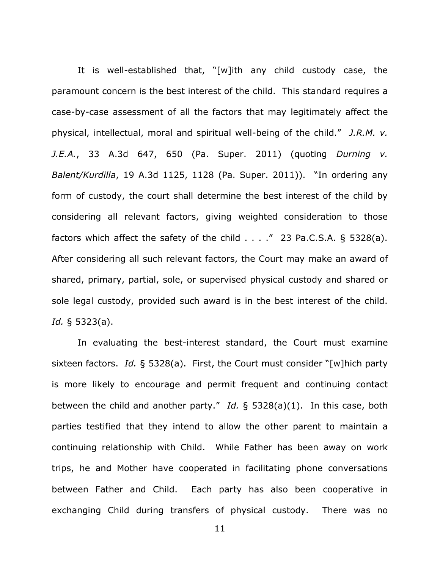It is well-established that, "[w]ith any child custody case, the paramount concern is the best interest of the child. This standard requires a case-by-case assessment of all the factors that may legitimately affect the physical, intellectual, moral and spiritual well-being of the child." *J.R.M. v. J.E.A.*, 33 A.3d 647, 650 (Pa. Super. 2011) (quoting *Durning v. Balent/Kurdilla*, 19 A.3d 1125, 1128 (Pa. Super. 2011)). "In ordering any form of custody, the court shall determine the best interest of the child by considering all relevant factors, giving weighted consideration to those factors which affect the safety of the child  $\ldots$  ." 23 Pa.C.S.A. § 5328(a). After considering all such relevant factors, the Court may make an award of shared, primary, partial, sole, or supervised physical custody and shared or sole legal custody, provided such award is in the best interest of the child. *Id.* § 5323(a).

In evaluating the best-interest standard, the Court must examine sixteen factors. *Id.* § 5328(a). First, the Court must consider "[w]hich party is more likely to encourage and permit frequent and continuing contact between the child and another party." *Id.* § 5328(a)(1). In this case, both parties testified that they intend to allow the other parent to maintain a continuing relationship with Child. While Father has been away on work trips, he and Mother have cooperated in facilitating phone conversations between Father and Child. Each party has also been cooperative in exchanging Child during transfers of physical custody. There was no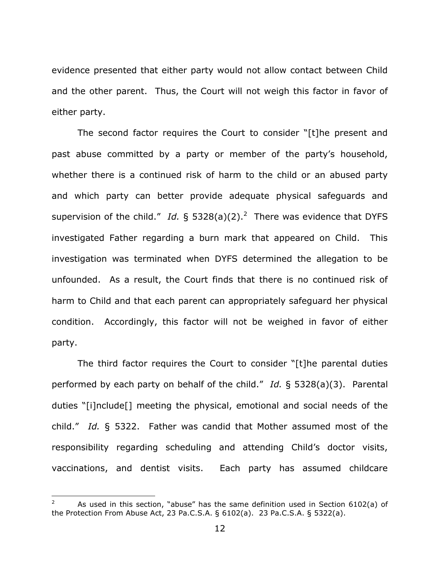evidence presented that either party would not allow contact between Child and the other parent. Thus, the Court will not weigh this factor in favor of either party.

The second factor requires the Court to consider "[t]he present and past abuse committed by a party or member of the party's household, whether there is a continued risk of harm to the child or an abused party and which party can better provide adequate physical safeguards and supervision of the child." Id.  $\S$  5328(a)(2).<sup>2</sup> There was evidence that DYFS investigated Father regarding a burn mark that appeared on Child. This investigation was terminated when DYFS determined the allegation to be unfounded. As a result, the Court finds that there is no continued risk of harm to Child and that each parent can appropriately safeguard her physical condition. Accordingly, this factor will not be weighed in favor of either party.

The third factor requires the Court to consider "[t]he parental duties performed by each party on behalf of the child." *Id.* § 5328(a)(3). Parental duties "[i]nclude[] meeting the physical, emotional and social needs of the child." *Id.* § 5322. Father was candid that Mother assumed most of the responsibility regarding scheduling and attending Child's doctor visits, vaccinations, and dentist visits. Each party has assumed childcare

 $\overline{\phantom{a}}$ 

As used in this section, "abuse" has the same definition used in Section 6102(a) of the Protection From Abuse Act, 23 Pa.C.S.A. § 6102(a). 23 Pa.C.S.A. § 5322(a).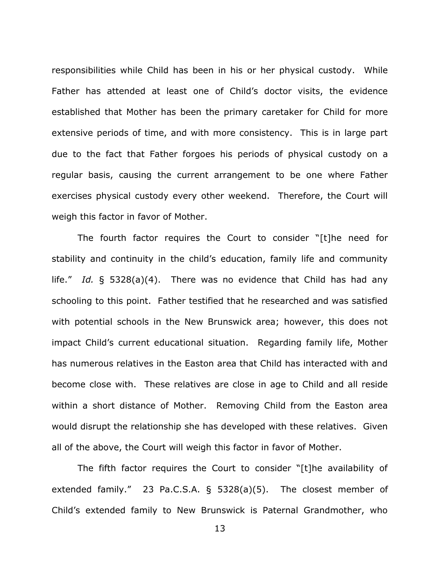responsibilities while Child has been in his or her physical custody. While Father has attended at least one of Child's doctor visits, the evidence established that Mother has been the primary caretaker for Child for more extensive periods of time, and with more consistency. This is in large part due to the fact that Father forgoes his periods of physical custody on a regular basis, causing the current arrangement to be one where Father exercises physical custody every other weekend. Therefore, the Court will weigh this factor in favor of Mother.

The fourth factor requires the Court to consider "[t]he need for stability and continuity in the child's education, family life and community life." *Id.* § 5328(a)(4). There was no evidence that Child has had any schooling to this point. Father testified that he researched and was satisfied with potential schools in the New Brunswick area; however, this does not impact Child's current educational situation. Regarding family life, Mother has numerous relatives in the Easton area that Child has interacted with and become close with. These relatives are close in age to Child and all reside within a short distance of Mother. Removing Child from the Easton area would disrupt the relationship she has developed with these relatives. Given all of the above, the Court will weigh this factor in favor of Mother.

The fifth factor requires the Court to consider "[t]he availability of extended family." 23 Pa.C.S.A. § 5328(a)(5). The closest member of Child's extended family to New Brunswick is Paternal Grandmother, who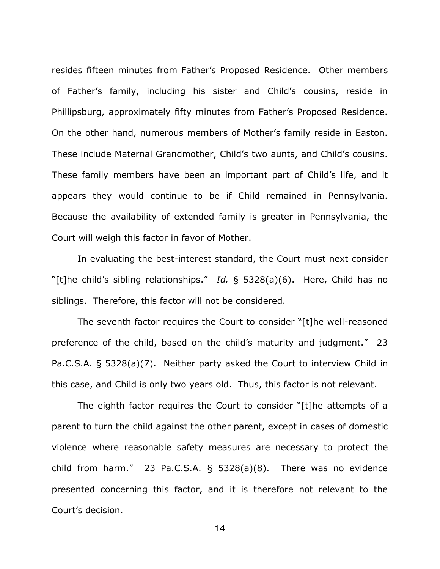resides fifteen minutes from Father's Proposed Residence. Other members of Father's family, including his sister and Child's cousins, reside in Phillipsburg, approximately fifty minutes from Father's Proposed Residence. On the other hand, numerous members of Mother's family reside in Easton. These include Maternal Grandmother, Child's two aunts, and Child's cousins. These family members have been an important part of Child's life, and it appears they would continue to be if Child remained in Pennsylvania. Because the availability of extended family is greater in Pennsylvania, the Court will weigh this factor in favor of Mother.

In evaluating the best-interest standard, the Court must next consider "[t]he child's sibling relationships." *Id.* § 5328(a)(6). Here, Child has no siblings. Therefore, this factor will not be considered.

The seventh factor requires the Court to consider "[t]he well-reasoned preference of the child, based on the child's maturity and judgment." 23 Pa.C.S.A. § 5328(a)(7). Neither party asked the Court to interview Child in this case, and Child is only two years old. Thus, this factor is not relevant.

The eighth factor requires the Court to consider "[t]he attempts of a parent to turn the child against the other parent, except in cases of domestic violence where reasonable safety measures are necessary to protect the child from harm." 23 Pa.C.S.A. § 5328(a)(8). There was no evidence presented concerning this factor, and it is therefore not relevant to the Court's decision.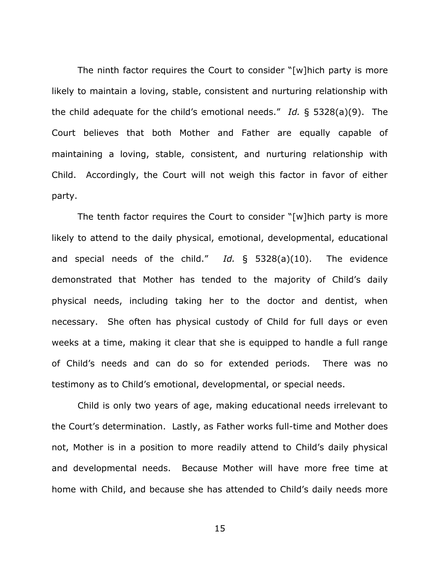The ninth factor requires the Court to consider "[w]hich party is more likely to maintain a loving, stable, consistent and nurturing relationship with the child adequate for the child's emotional needs." *Id.* § 5328(a)(9). The Court believes that both Mother and Father are equally capable of maintaining a loving, stable, consistent, and nurturing relationship with Child. Accordingly, the Court will not weigh this factor in favor of either party.

The tenth factor requires the Court to consider "[w]hich party is more likely to attend to the daily physical, emotional, developmental, educational and special needs of the child." *Id.* § 5328(a)(10). The evidence demonstrated that Mother has tended to the majority of Child's daily physical needs, including taking her to the doctor and dentist, when necessary. She often has physical custody of Child for full days or even weeks at a time, making it clear that she is equipped to handle a full range of Child's needs and can do so for extended periods. There was no testimony as to Child's emotional, developmental, or special needs.

Child is only two years of age, making educational needs irrelevant to the Court's determination. Lastly, as Father works full-time and Mother does not, Mother is in a position to more readily attend to Child's daily physical and developmental needs. Because Mother will have more free time at home with Child, and because she has attended to Child's daily needs more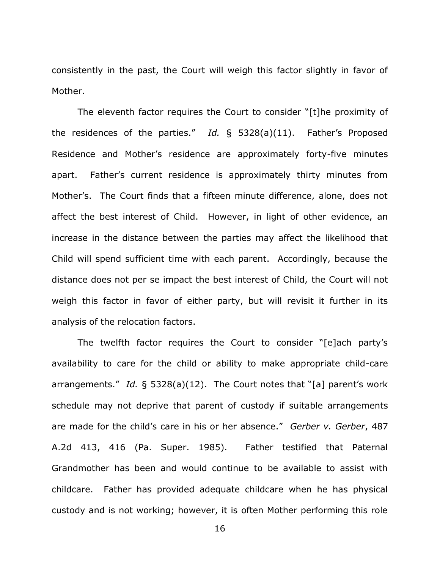consistently in the past, the Court will weigh this factor slightly in favor of Mother.

The eleventh factor requires the Court to consider "[t]he proximity of the residences of the parties." *Id.* § 5328(a)(11). Father's Proposed Residence and Mother's residence are approximately forty-five minutes apart. Father's current residence is approximately thirty minutes from Mother's. The Court finds that a fifteen minute difference, alone, does not affect the best interest of Child. However, in light of other evidence, an increase in the distance between the parties may affect the likelihood that Child will spend sufficient time with each parent. Accordingly, because the distance does not per se impact the best interest of Child, the Court will not weigh this factor in favor of either party, but will revisit it further in its analysis of the relocation factors.

The twelfth factor requires the Court to consider "[e]ach party's availability to care for the child or ability to make appropriate child-care arrangements." *Id.* § 5328(a)(12). The Court notes that "[a] parent's work schedule may not deprive that parent of custody if suitable arrangements are made for the child's care in his or her absence." *Gerber v. Gerber*, 487 A.2d 413, 416 (Pa. Super. 1985). Father testified that Paternal Grandmother has been and would continue to be available to assist with childcare. Father has provided adequate childcare when he has physical custody and is not working; however, it is often Mother performing this role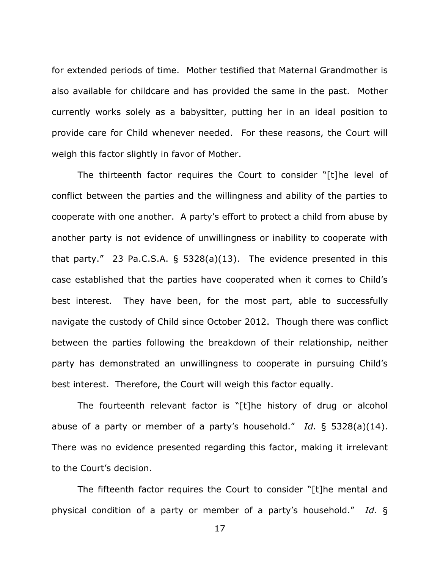for extended periods of time. Mother testified that Maternal Grandmother is also available for childcare and has provided the same in the past. Mother currently works solely as a babysitter, putting her in an ideal position to provide care for Child whenever needed. For these reasons, the Court will weigh this factor slightly in favor of Mother.

The thirteenth factor requires the Court to consider "[t]he level of conflict between the parties and the willingness and ability of the parties to cooperate with one another. A party's effort to protect a child from abuse by another party is not evidence of unwillingness or inability to cooperate with that party." 23 Pa.C.S.A.  $\frac{5328(a)(13)}{2}$ . The evidence presented in this case established that the parties have cooperated when it comes to Child's best interest. They have been, for the most part, able to successfully navigate the custody of Child since October 2012. Though there was conflict between the parties following the breakdown of their relationship, neither party has demonstrated an unwillingness to cooperate in pursuing Child's best interest. Therefore, the Court will weigh this factor equally.

The fourteenth relevant factor is "[t]he history of drug or alcohol abuse of a party or member of a party's household." *Id.* § 5328(a)(14). There was no evidence presented regarding this factor, making it irrelevant to the Court's decision.

The fifteenth factor requires the Court to consider "[t]he mental and physical condition of a party or member of a party's household." *Id.* §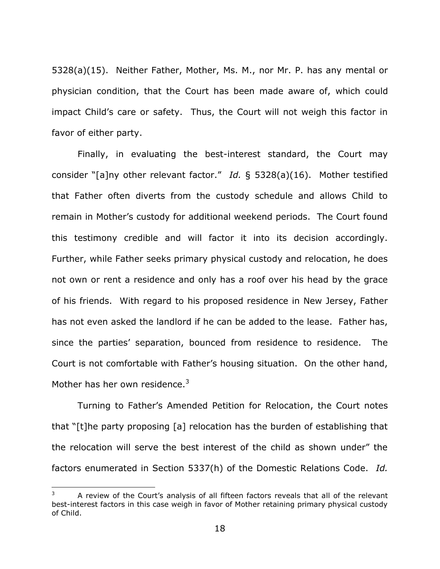5328(a)(15). Neither Father, Mother, Ms. M., nor Mr. P. has any mental or physician condition, that the Court has been made aware of, which could impact Child's care or safety. Thus, the Court will not weigh this factor in favor of either party.

Finally, in evaluating the best-interest standard, the Court may consider "[a]ny other relevant factor." *Id.* § 5328(a)(16). Mother testified that Father often diverts from the custody schedule and allows Child to remain in Mother's custody for additional weekend periods. The Court found this testimony credible and will factor it into its decision accordingly. Further, while Father seeks primary physical custody and relocation, he does not own or rent a residence and only has a roof over his head by the grace of his friends. With regard to his proposed residence in New Jersey, Father has not even asked the landlord if he can be added to the lease. Father has, since the parties' separation, bounced from residence to residence. The Court is not comfortable with Father's housing situation. On the other hand, Mother has her own residence. $3$ 

Turning to Father's Amended Petition for Relocation, the Court notes that "[t]he party proposing [a] relocation has the burden of establishing that the relocation will serve the best interest of the child as shown under" the factors enumerated in Section 5337(h) of the Domestic Relations Code. *Id.*

 $\overline{a}$ 

A review of the Court's analysis of all fifteen factors reveals that all of the relevant best-interest factors in this case weigh in favor of Mother retaining primary physical custody of Child.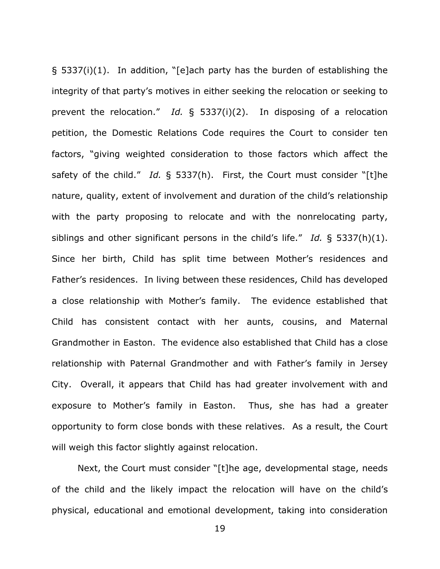§ 5337(i)(1). In addition, "[e]ach party has the burden of establishing the integrity of that party's motives in either seeking the relocation or seeking to prevent the relocation." *Id.* § 5337(i)(2). In disposing of a relocation petition, the Domestic Relations Code requires the Court to consider ten factors, "giving weighted consideration to those factors which affect the safety of the child." *Id.* § 5337(h). First, the Court must consider "[t]he nature, quality, extent of involvement and duration of the child's relationship with the party proposing to relocate and with the nonrelocating party, siblings and other significant persons in the child's life." *Id.* § 5337(h)(1). Since her birth, Child has split time between Mother's residences and Father's residences. In living between these residences, Child has developed a close relationship with Mother's family. The evidence established that Child has consistent contact with her aunts, cousins, and Maternal Grandmother in Easton. The evidence also established that Child has a close relationship with Paternal Grandmother and with Father's family in Jersey City. Overall, it appears that Child has had greater involvement with and exposure to Mother's family in Easton. Thus, she has had a greater opportunity to form close bonds with these relatives. As a result, the Court will weigh this factor slightly against relocation.

Next, the Court must consider "[t]he age, developmental stage, needs of the child and the likely impact the relocation will have on the child's physical, educational and emotional development, taking into consideration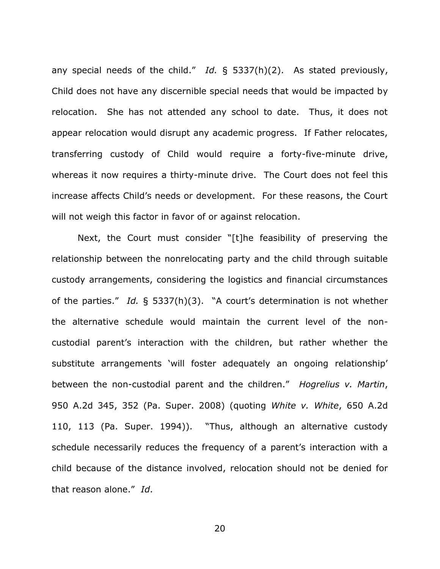any special needs of the child." *Id.* § 5337(h)(2). As stated previously, Child does not have any discernible special needs that would be impacted by relocation. She has not attended any school to date. Thus, it does not appear relocation would disrupt any academic progress. If Father relocates, transferring custody of Child would require a forty-five-minute drive, whereas it now requires a thirty-minute drive. The Court does not feel this increase affects Child's needs or development. For these reasons, the Court will not weigh this factor in favor of or against relocation.

Next, the Court must consider "[t]he feasibility of preserving the relationship between the nonrelocating party and the child through suitable custody arrangements, considering the logistics and financial circumstances of the parties." *Id.* § 5337(h)(3). "A court's determination is not whether the alternative schedule would maintain the current level of the noncustodial parent's interaction with the children, but rather whether the substitute arrangements 'will foster adequately an ongoing relationship' between the non-custodial parent and the children." *Hogrelius v. Martin*, 950 A.2d 345, 352 (Pa. Super. 2008) (quoting *White v. White*, 650 A.2d 110, 113 (Pa. Super. 1994)). "Thus, although an alternative custody schedule necessarily reduces the frequency of a parent's interaction with a child because of the distance involved, relocation should not be denied for that reason alone." *Id*.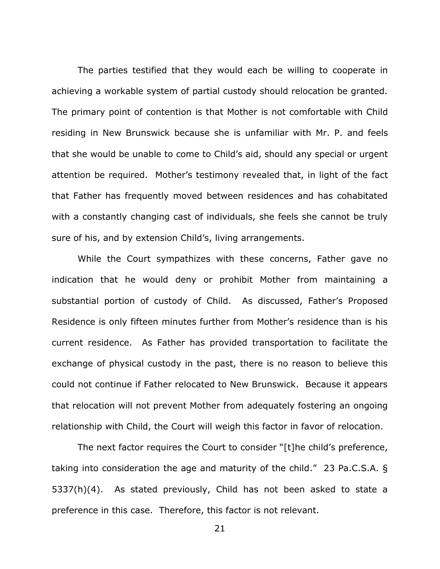The parties testified that they would each be willing to cooperate in achieving a workable system of partial custody should relocation be granted. The primary point of contention is that Mother is not comfortable with Child residing in New Brunswick because she is unfamiliar with Mr. P. and feels that she would be unable to come to Child's aid, should any special or urgent attention be required. Mother's testimony revealed that, in light of the fact that Father has frequently moved between residences and has cohabitated with a constantly changing cast of individuals, she feels she cannot be truly sure of his, and by extension Child's, living arrangements.

While the Court sympathizes with these concerns, Father gave no indication that he would deny or prohibit Mother from maintaining a substantial portion of custody of Child. As discussed, Father's Proposed Residence is only fifteen minutes further from Mother's residence than is his current residence. As Father has provided transportation to facilitate the exchange of physical custody in the past, there is no reason to believe this could not continue if Father relocated to New Brunswick. Because it appears that relocation will not prevent Mother from adequately fostering an ongoing relationship with Child, the Court will weigh this factor in favor of relocation.

The next factor requires the Court to consider "[t]he child's preference, taking into consideration the age and maturity of the child." 23 Pa.C.S.A. § 5337(h)(4). As stated previously, Child has not been asked to state a preference in this case. Therefore, this factor is not relevant.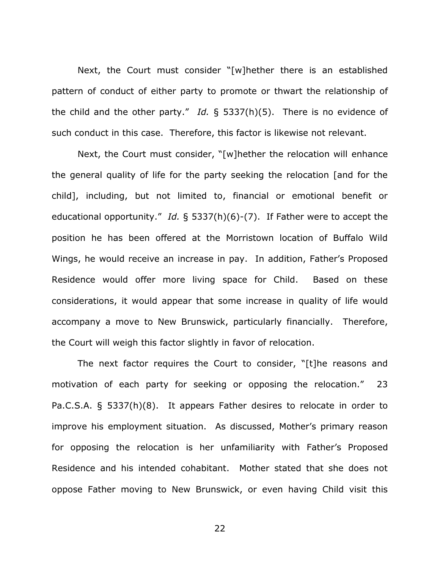Next, the Court must consider "[w]hether there is an established pattern of conduct of either party to promote or thwart the relationship of the child and the other party." *Id.* § 5337(h)(5). There is no evidence of such conduct in this case. Therefore, this factor is likewise not relevant.

Next, the Court must consider, "[w]hether the relocation will enhance the general quality of life for the party seeking the relocation [and for the child], including, but not limited to, financial or emotional benefit or educational opportunity." *Id.* § 5337(h)(6)-(7). If Father were to accept the position he has been offered at the Morristown location of Buffalo Wild Wings, he would receive an increase in pay. In addition, Father's Proposed Residence would offer more living space for Child. Based on these considerations, it would appear that some increase in quality of life would accompany a move to New Brunswick, particularly financially. Therefore, the Court will weigh this factor slightly in favor of relocation.

The next factor requires the Court to consider, "[t]he reasons and motivation of each party for seeking or opposing the relocation." 23 Pa.C.S.A. § 5337(h)(8). It appears Father desires to relocate in order to improve his employment situation. As discussed, Mother's primary reason for opposing the relocation is her unfamiliarity with Father's Proposed Residence and his intended cohabitant. Mother stated that she does not oppose Father moving to New Brunswick, or even having Child visit this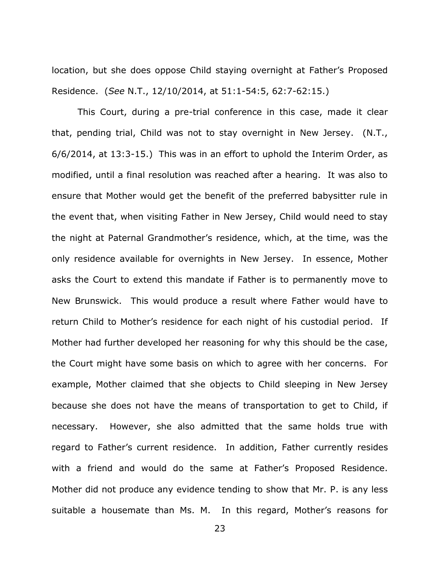location, but she does oppose Child staying overnight at Father's Proposed Residence. (*See* N.T., 12/10/2014, at 51:1-54:5, 62:7-62:15.)

This Court, during a pre-trial conference in this case, made it clear that, pending trial, Child was not to stay overnight in New Jersey. (N.T., 6/6/2014, at 13:3-15.) This was in an effort to uphold the Interim Order, as modified, until a final resolution was reached after a hearing. It was also to ensure that Mother would get the benefit of the preferred babysitter rule in the event that, when visiting Father in New Jersey, Child would need to stay the night at Paternal Grandmother's residence, which, at the time, was the only residence available for overnights in New Jersey. In essence, Mother asks the Court to extend this mandate if Father is to permanently move to New Brunswick. This would produce a result where Father would have to return Child to Mother's residence for each night of his custodial period. If Mother had further developed her reasoning for why this should be the case, the Court might have some basis on which to agree with her concerns. For example, Mother claimed that she objects to Child sleeping in New Jersey because she does not have the means of transportation to get to Child, if necessary. However, she also admitted that the same holds true with regard to Father's current residence. In addition, Father currently resides with a friend and would do the same at Father's Proposed Residence. Mother did not produce any evidence tending to show that Mr. P. is any less suitable a housemate than Ms. M. In this regard, Mother's reasons for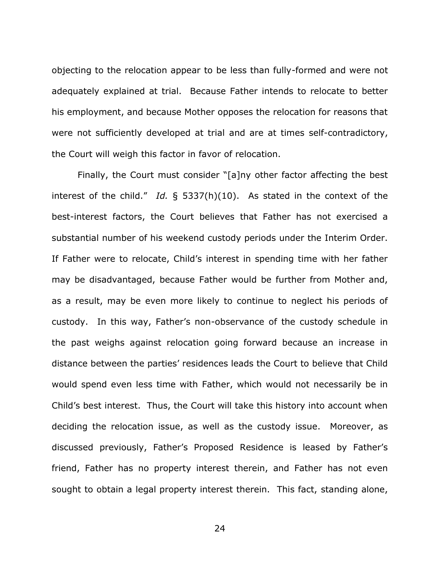objecting to the relocation appear to be less than fully-formed and were not adequately explained at trial. Because Father intends to relocate to better his employment, and because Mother opposes the relocation for reasons that were not sufficiently developed at trial and are at times self-contradictory, the Court will weigh this factor in favor of relocation.

Finally, the Court must consider "[a]ny other factor affecting the best interest of the child." *Id.* § 5337(h)(10). As stated in the context of the best-interest factors, the Court believes that Father has not exercised a substantial number of his weekend custody periods under the Interim Order. If Father were to relocate, Child's interest in spending time with her father may be disadvantaged, because Father would be further from Mother and, as a result, may be even more likely to continue to neglect his periods of custody. In this way, Father's non-observance of the custody schedule in the past weighs against relocation going forward because an increase in distance between the parties' residences leads the Court to believe that Child would spend even less time with Father, which would not necessarily be in Child's best interest. Thus, the Court will take this history into account when deciding the relocation issue, as well as the custody issue. Moreover, as discussed previously, Father's Proposed Residence is leased by Father's friend, Father has no property interest therein, and Father has not even sought to obtain a legal property interest therein. This fact, standing alone,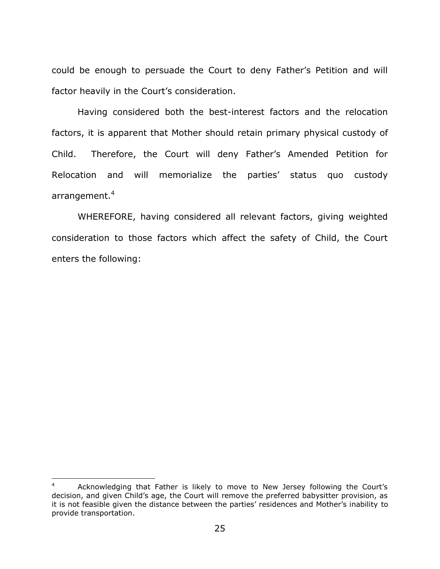could be enough to persuade the Court to deny Father's Petition and will factor heavily in the Court's consideration.

Having considered both the best-interest factors and the relocation factors, it is apparent that Mother should retain primary physical custody of Child. Therefore, the Court will deny Father's Amended Petition for Relocation and will memorialize the parties' status quo custody arrangement.<sup>4</sup>

WHEREFORE, having considered all relevant factors, giving weighted consideration to those factors which affect the safety of Child, the Court enters the following:

 $\overline{\phantom{a}}$ 

<sup>4</sup> Acknowledging that Father is likely to move to New Jersey following the Court's decision, and given Child's age, the Court will remove the preferred babysitter provision, as it is not feasible given the distance between the parties' residences and Mother's inability to provide transportation.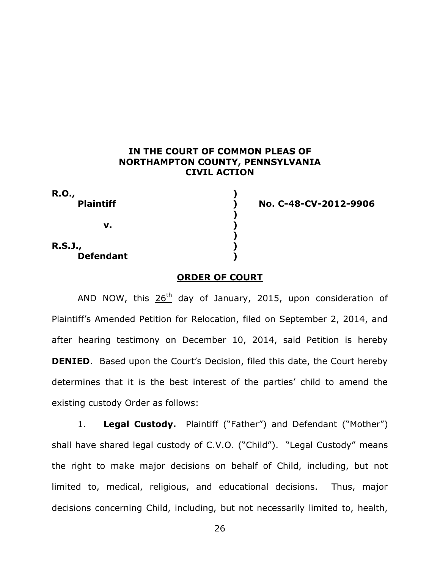# **IN THE COURT OF COMMON PLEAS OF NORTHAMPTON COUNTY, PENNSYLVANIA CIVIL ACTION**

| <b>R.O.,</b><br><b>Plaintiff</b>   |  |
|------------------------------------|--|
| v.                                 |  |
| <b>R.S.J.,</b><br><b>Defendant</b> |  |

**Plaintiff ) No. C-48-CV-2012-9906**

### **ORDER OF COURT**

AND NOW, this  $26<sup>th</sup>$  day of January, 2015, upon consideration of Plaintiff's Amended Petition for Relocation, filed on September 2, 2014, and after hearing testimony on December 10, 2014, said Petition is hereby **DENIED.** Based upon the Court's Decision, filed this date, the Court hereby determines that it is the best interest of the parties' child to amend the existing custody Order as follows:

1. **Legal Custody.** Plaintiff ("Father") and Defendant ("Mother") shall have shared legal custody of C.V.O. ("Child"). "Legal Custody" means the right to make major decisions on behalf of Child, including, but not limited to, medical, religious, and educational decisions. Thus, major decisions concerning Child, including, but not necessarily limited to, health,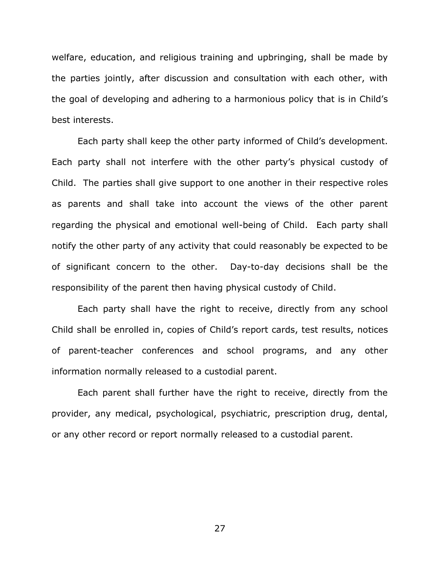welfare, education, and religious training and upbringing, shall be made by the parties jointly, after discussion and consultation with each other, with the goal of developing and adhering to a harmonious policy that is in Child's best interests.

Each party shall keep the other party informed of Child's development. Each party shall not interfere with the other party's physical custody of Child. The parties shall give support to one another in their respective roles as parents and shall take into account the views of the other parent regarding the physical and emotional well-being of Child. Each party shall notify the other party of any activity that could reasonably be expected to be of significant concern to the other. Day-to-day decisions shall be the responsibility of the parent then having physical custody of Child.

Each party shall have the right to receive, directly from any school Child shall be enrolled in, copies of Child's report cards, test results, notices of parent-teacher conferences and school programs, and any other information normally released to a custodial parent.

Each parent shall further have the right to receive, directly from the provider, any medical, psychological, psychiatric, prescription drug, dental, or any other record or report normally released to a custodial parent.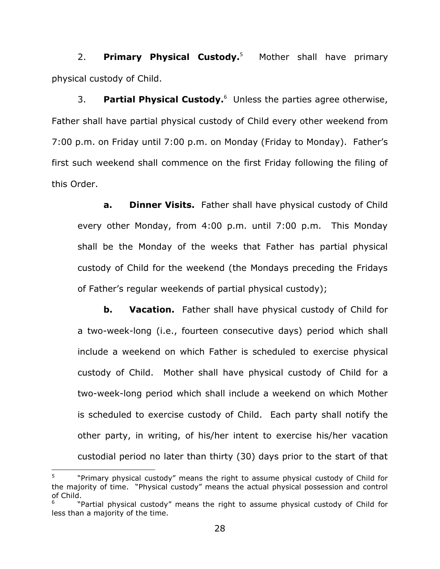2. **Primary Physical Custody.**<sup>5</sup> Mother shall have primary physical custody of Child.

3. Partial Physical Custody.<sup>6</sup> Unless the parties agree otherwise, Father shall have partial physical custody of Child every other weekend from 7:00 p.m. on Friday until 7:00 p.m. on Monday (Friday to Monday). Father's first such weekend shall commence on the first Friday following the filing of this Order.

**a. Dinner Visits.** Father shall have physical custody of Child every other Monday, from 4:00 p.m. until 7:00 p.m. This Monday shall be the Monday of the weeks that Father has partial physical custody of Child for the weekend (the Mondays preceding the Fridays of Father's regular weekends of partial physical custody);

**b. Vacation.** Father shall have physical custody of Child for a two-week-long (i.e., fourteen consecutive days) period which shall include a weekend on which Father is scheduled to exercise physical custody of Child. Mother shall have physical custody of Child for a two-week-long period which shall include a weekend on which Mother is scheduled to exercise custody of Child. Each party shall notify the other party, in writing, of his/her intent to exercise his/her vacation custodial period no later than thirty (30) days prior to the start of that

l

<sup>5</sup> "Primary physical custody" means the right to assume physical custody of Child for the majority of time."Physical custody" means the actual physical possession and control of Child.

<sup>6</sup> "Partial physical custody" means the right to assume physical custody of Child for less than a majority of the time.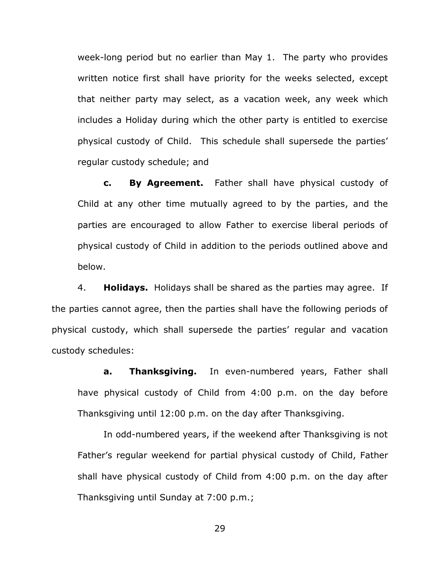week-long period but no earlier than May 1. The party who provides written notice first shall have priority for the weeks selected, except that neither party may select, as a vacation week, any week which includes a Holiday during which the other party is entitled to exercise physical custody of Child. This schedule shall supersede the parties' regular custody schedule; and

**c. By Agreement.** Father shall have physical custody of Child at any other time mutually agreed to by the parties, and the parties are encouraged to allow Father to exercise liberal periods of physical custody of Child in addition to the periods outlined above and below.

4. **Holidays.** Holidays shall be shared as the parties may agree. If the parties cannot agree, then the parties shall have the following periods of physical custody, which shall supersede the parties' regular and vacation custody schedules:

**a. Thanksgiving.** In even-numbered years, Father shall have physical custody of Child from 4:00 p.m. on the day before Thanksgiving until 12:00 p.m. on the day after Thanksgiving.

In odd-numbered years, if the weekend after Thanksgiving is not Father's regular weekend for partial physical custody of Child, Father shall have physical custody of Child from 4:00 p.m. on the day after Thanksgiving until Sunday at 7:00 p.m.;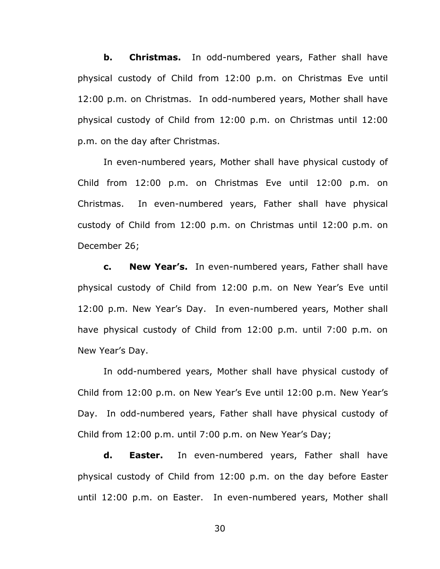**b. Christmas.** In odd-numbered years, Father shall have physical custody of Child from 12:00 p.m. on Christmas Eve until 12:00 p.m. on Christmas. In odd-numbered years, Mother shall have physical custody of Child from 12:00 p.m. on Christmas until 12:00 p.m. on the day after Christmas.

In even-numbered years, Mother shall have physical custody of Child from 12:00 p.m. on Christmas Eve until 12:00 p.m. on Christmas. In even-numbered years, Father shall have physical custody of Child from 12:00 p.m. on Christmas until 12:00 p.m. on December 26;

**c. New Year's.** In even-numbered years, Father shall have physical custody of Child from 12:00 p.m. on New Year's Eve until 12:00 p.m. New Year's Day. In even-numbered years, Mother shall have physical custody of Child from 12:00 p.m. until 7:00 p.m. on New Year's Day.

In odd-numbered years, Mother shall have physical custody of Child from 12:00 p.m. on New Year's Eve until 12:00 p.m. New Year's Day. In odd-numbered years, Father shall have physical custody of Child from 12:00 p.m. until 7:00 p.m. on New Year's Day;

**d. Easter.** In even-numbered years, Father shall have physical custody of Child from 12:00 p.m. on the day before Easter until 12:00 p.m. on Easter. In even-numbered years, Mother shall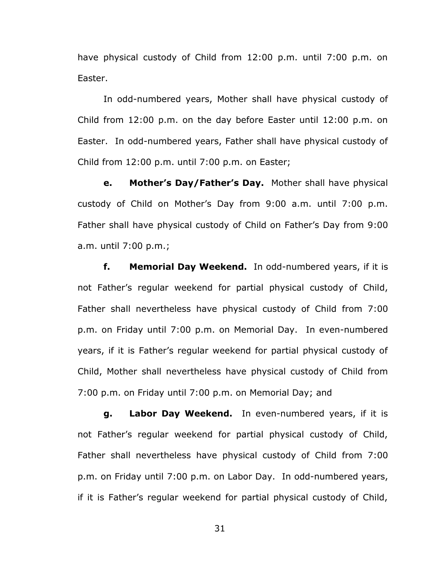have physical custody of Child from 12:00 p.m. until 7:00 p.m. on Easter.

In odd-numbered years, Mother shall have physical custody of Child from 12:00 p.m. on the day before Easter until 12:00 p.m. on Easter. In odd-numbered years, Father shall have physical custody of Child from 12:00 p.m. until 7:00 p.m. on Easter;

**e. Mother's Day/Father's Day.** Mother shall have physical custody of Child on Mother's Day from 9:00 a.m. until 7:00 p.m. Father shall have physical custody of Child on Father's Day from 9:00 a.m. until 7:00 p.m.;

**f. Memorial Day Weekend.** In odd-numbered years, if it is not Father's regular weekend for partial physical custody of Child, Father shall nevertheless have physical custody of Child from 7:00 p.m. on Friday until 7:00 p.m. on Memorial Day. In even-numbered years, if it is Father's regular weekend for partial physical custody of Child, Mother shall nevertheless have physical custody of Child from 7:00 p.m. on Friday until 7:00 p.m. on Memorial Day; and

**g. Labor Day Weekend.** In even-numbered years, if it is not Father's regular weekend for partial physical custody of Child, Father shall nevertheless have physical custody of Child from 7:00 p.m. on Friday until 7:00 p.m. on Labor Day. In odd-numbered years, if it is Father's regular weekend for partial physical custody of Child,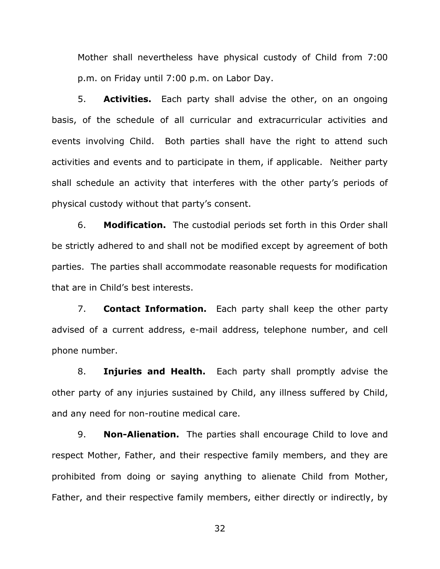Mother shall nevertheless have physical custody of Child from 7:00 p.m. on Friday until 7:00 p.m. on Labor Day.

5. **Activities.** Each party shall advise the other, on an ongoing basis, of the schedule of all curricular and extracurricular activities and events involving Child. Both parties shall have the right to attend such activities and events and to participate in them, if applicable. Neither party shall schedule an activity that interferes with the other party's periods of physical custody without that party's consent.

6. **Modification.** The custodial periods set forth in this Order shall be strictly adhered to and shall not be modified except by agreement of both parties. The parties shall accommodate reasonable requests for modification that are in Child's best interests.

7. **Contact Information.** Each party shall keep the other party advised of a current address, e-mail address, telephone number, and cell phone number.

8. **Injuries and Health.** Each party shall promptly advise the other party of any injuries sustained by Child, any illness suffered by Child, and any need for non-routine medical care.

9. **Non-Alienation.** The parties shall encourage Child to love and respect Mother, Father, and their respective family members, and they are prohibited from doing or saying anything to alienate Child from Mother, Father, and their respective family members, either directly or indirectly, by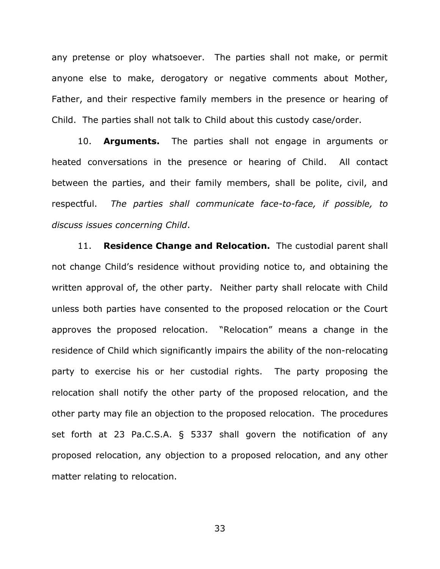any pretense or ploy whatsoever. The parties shall not make, or permit anyone else to make, derogatory or negative comments about Mother, Father, and their respective family members in the presence or hearing of Child. The parties shall not talk to Child about this custody case/order.

10. **Arguments.** The parties shall not engage in arguments or heated conversations in the presence or hearing of Child. All contact between the parties, and their family members, shall be polite, civil, and respectful. *The parties shall communicate face-to-face, if possible, to discuss issues concerning Child*.

11. **Residence Change and Relocation.** The custodial parent shall not change Child's residence without providing notice to, and obtaining the written approval of, the other party. Neither party shall relocate with Child unless both parties have consented to the proposed relocation or the Court approves the proposed relocation. "Relocation" means a change in the residence of Child which significantly impairs the ability of the non-relocating party to exercise his or her custodial rights. The party proposing the relocation shall notify the other party of the proposed relocation, and the other party may file an objection to the proposed relocation. The procedures set forth at 23 Pa.C.S.A. § 5337 shall govern the notification of any proposed relocation, any objection to a proposed relocation, and any other matter relating to relocation.